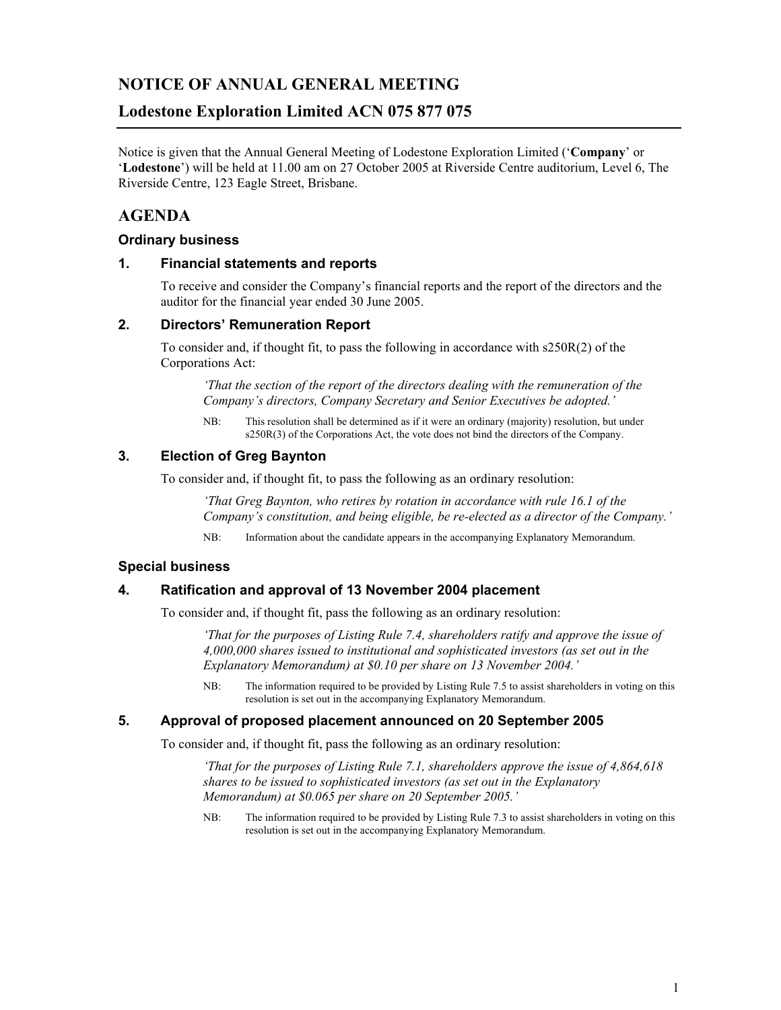# **NOTICE OF ANNUAL GENERAL MEETING**

# **Lodestone Exploration Limited ACN 075 877 075**

Notice is given that the Annual General Meeting of Lodestone Exploration Limited ('**Company**' or '**Lodestone**') will be held at 11.00 am on 27 October 2005 at Riverside Centre auditorium, Level 6, The Riverside Centre, 123 Eagle Street, Brisbane.

# **AGENDA**

### **Ordinary business**

### **1. Financial statements and reports**

To receive and consider the Company's financial reports and the report of the directors and the auditor for the financial year ended 30 June 2005.

## **2. Directors' Remuneration Report**

To consider and, if thought fit, to pass the following in accordance with s250R(2) of the Corporations Act:

*'That the section of the report of the directors dealing with the remuneration of the Company's directors, Company Secretary and Senior Executives be adopted.'* 

NB: This resolution shall be determined as if it were an ordinary (majority) resolution, but under s250R(3) of the Corporations Act, the vote does not bind the directors of the Company.

## **3. Election of Greg Baynton**

To consider and, if thought fit, to pass the following as an ordinary resolution:

*'That Greg Baynton, who retires by rotation in accordance with rule 16.1 of the Company's constitution, and being eligible, be re-elected as a director of the Company.'* 

NB: Information about the candidate appears in the accompanying Explanatory Memorandum.

# **Special business**

### **4. Ratification and approval of 13 November 2004 placement**

To consider and, if thought fit, pass the following as an ordinary resolution:

*'That for the purposes of Listing Rule 7.4, shareholders ratify and approve the issue of 4,000,000 shares issued to institutional and sophisticated investors (as set out in the Explanatory Memorandum) at \$0.10 per share on 13 November 2004.'* 

NB: The information required to be provided by Listing Rule 7.5 to assist shareholders in voting on this resolution is set out in the accompanying Explanatory Memorandum.

### **5. Approval of proposed placement announced on 20 September 2005**

To consider and, if thought fit, pass the following as an ordinary resolution:

*'That for the purposes of Listing Rule 7.1, shareholders approve the issue of 4,864,618 shares to be issued to sophisticated investors (as set out in the Explanatory Memorandum) at \$0.065 per share on 20 September 2005.'* 

NB: The information required to be provided by Listing Rule 7.3 to assist shareholders in voting on this resolution is set out in the accompanying Explanatory Memorandum.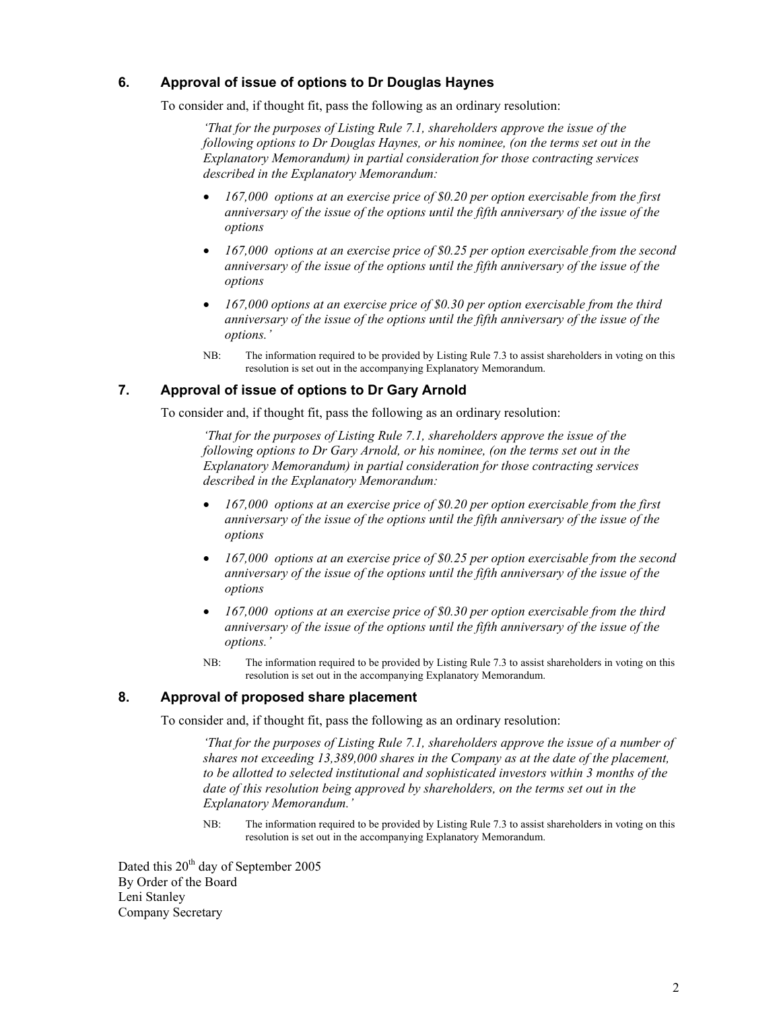## **6. Approval of issue of options to Dr Douglas Haynes**

To consider and, if thought fit, pass the following as an ordinary resolution:

*'That for the purposes of Listing Rule 7.1, shareholders approve the issue of the following options to Dr Douglas Haynes, or his nominee, (on the terms set out in the Explanatory Memorandum) in partial consideration for those contracting services described in the Explanatory Memorandum:* 

- *167,000 options at an exercise price of \$0.20 per option exercisable from the first anniversary of the issue of the options until the fifth anniversary of the issue of the options*
- *167,000 options at an exercise price of \$0.25 per option exercisable from the second anniversary of the issue of the options until the fifth anniversary of the issue of the options*
- *167,000 options at an exercise price of \$0.30 per option exercisable from the third anniversary of the issue of the options until the fifth anniversary of the issue of the options.'*
- NB: The information required to be provided by Listing Rule 7.3 to assist shareholders in voting on this resolution is set out in the accompanying Explanatory Memorandum.

### **7. Approval of issue of options to Dr Gary Arnold**

To consider and, if thought fit, pass the following as an ordinary resolution:

*'That for the purposes of Listing Rule 7.1, shareholders approve the issue of the following options to Dr Gary Arnold, or his nominee, (on the terms set out in the Explanatory Memorandum) in partial consideration for those contracting services described in the Explanatory Memorandum:* 

- *167,000 options at an exercise price of \$0.20 per option exercisable from the first anniversary of the issue of the options until the fifth anniversary of the issue of the options*
- *167,000 options at an exercise price of \$0.25 per option exercisable from the second anniversary of the issue of the options until the fifth anniversary of the issue of the options*
- *167,000 options at an exercise price of \$0.30 per option exercisable from the third anniversary of the issue of the options until the fifth anniversary of the issue of the options.'*
- NB: The information required to be provided by Listing Rule 7.3 to assist shareholders in voting on this resolution is set out in the accompanying Explanatory Memorandum.

### **8. Approval of proposed share placement**

To consider and, if thought fit, pass the following as an ordinary resolution:

*'That for the purposes of Listing Rule 7.1, shareholders approve the issue of a number of shares not exceeding 13,389,000 shares in the Company as at the date of the placement, to be allotted to selected institutional and sophisticated investors within 3 months of the date of this resolution being approved by shareholders, on the terms set out in the Explanatory Memorandum.'* 

NB: The information required to be provided by Listing Rule 7.3 to assist shareholders in voting on this resolution is set out in the accompanying Explanatory Memorandum.

Dated this 20<sup>th</sup> day of September 2005 By Order of the Board Leni Stanley Company Secretary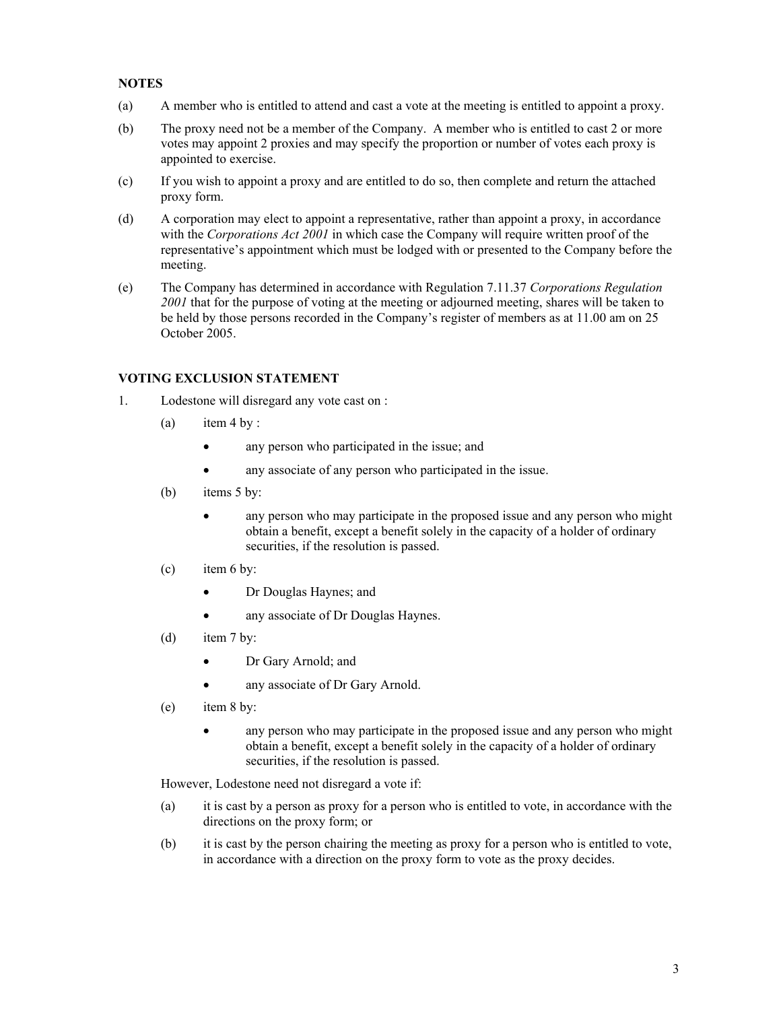### **NOTES**

- (a) A member who is entitled to attend and cast a vote at the meeting is entitled to appoint a proxy.
- (b) The proxy need not be a member of the Company. A member who is entitled to cast 2 or more votes may appoint 2 proxies and may specify the proportion or number of votes each proxy is appointed to exercise.
- (c) If you wish to appoint a proxy and are entitled to do so, then complete and return the attached proxy form.
- (d) A corporation may elect to appoint a representative, rather than appoint a proxy, in accordance with the *Corporations Act 2001* in which case the Company will require written proof of the representative's appointment which must be lodged with or presented to the Company before the meeting.
- (e) The Company has determined in accordance with Regulation 7.11.37 *Corporations Regulation 2001* that for the purpose of voting at the meeting or adjourned meeting, shares will be taken to be held by those persons recorded in the Company's register of members as at 11.00 am on 25 October 2005.

# **VOTING EXCLUSION STATEMENT**

- 1. Lodestone will disregard any vote cast on :
	- (a) item 4 by :
		- any person who participated in the issue; and
		- any associate of any person who participated in the issue.
	- (b) items 5 by:
		- any person who may participate in the proposed issue and any person who might obtain a benefit, except a benefit solely in the capacity of a holder of ordinary securities, if the resolution is passed.
	- (c) item 6 by:
		- Dr Douglas Haynes; and
		- any associate of Dr Douglas Haynes.
	- (d) item 7 by:
		- Dr Gary Arnold; and
		- any associate of Dr Gary Arnold.
	- (e) item 8 by:
		- any person who may participate in the proposed issue and any person who might obtain a benefit, except a benefit solely in the capacity of a holder of ordinary securities, if the resolution is passed.

However, Lodestone need not disregard a vote if:

- (a) it is cast by a person as proxy for a person who is entitled to vote, in accordance with the directions on the proxy form; or
- (b) it is cast by the person chairing the meeting as proxy for a person who is entitled to vote, in accordance with a direction on the proxy form to vote as the proxy decides.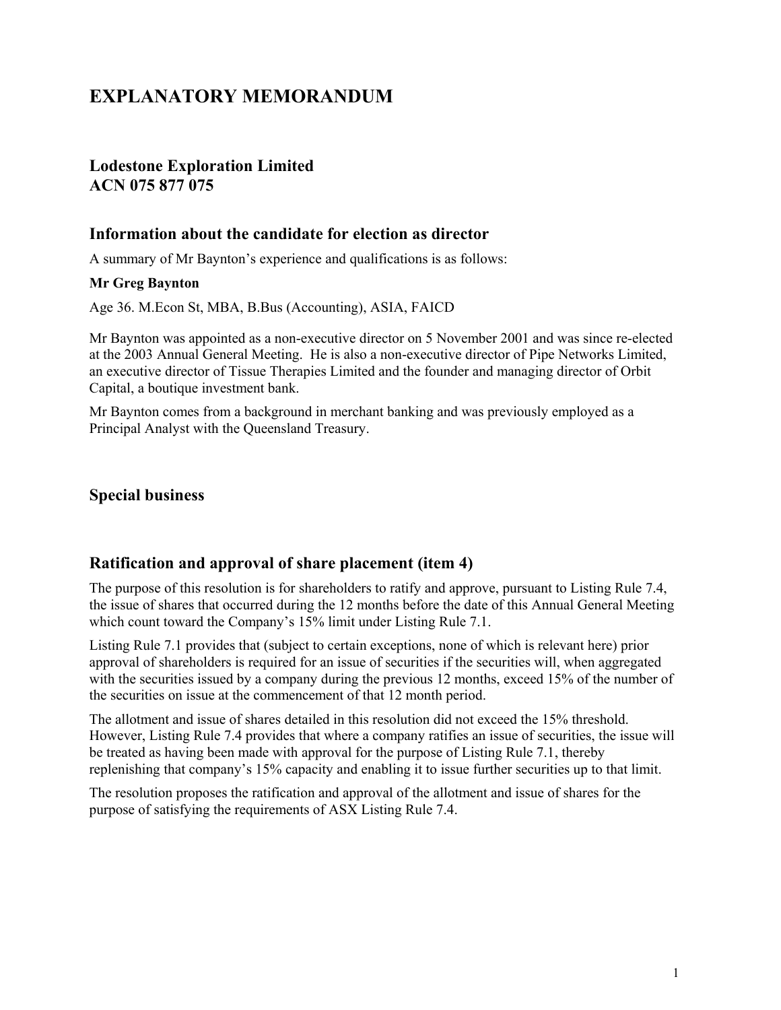# **EXPLANATORY MEMORANDUM**

# **Lodestone Exploration Limited ACN 075 877 075**

# **Information about the candidate for election as director**

A summary of Mr Baynton's experience and qualifications is as follows:

### **Mr Greg Baynton**

Age 36. M.Econ St, MBA, B.Bus (Accounting), ASIA, FAICD

Mr Baynton was appointed as a non-executive director on 5 November 2001 and was since re-elected at the 2003 Annual General Meeting. He is also a non-executive director of Pipe Networks Limited, an executive director of Tissue Therapies Limited and the founder and managing director of Orbit Capital, a boutique investment bank.

Mr Baynton comes from a background in merchant banking and was previously employed as a Principal Analyst with the Queensland Treasury.

# **Special business**

# **Ratification and approval of share placement (item 4)**

The purpose of this resolution is for shareholders to ratify and approve, pursuant to Listing Rule 7.4, the issue of shares that occurred during the 12 months before the date of this Annual General Meeting which count toward the Company's 15% limit under Listing Rule 7.1.

Listing Rule 7.1 provides that (subject to certain exceptions, none of which is relevant here) prior approval of shareholders is required for an issue of securities if the securities will, when aggregated with the securities issued by a company during the previous 12 months, exceed 15% of the number of the securities on issue at the commencement of that 12 month period.

The allotment and issue of shares detailed in this resolution did not exceed the 15% threshold. However, Listing Rule 7.4 provides that where a company ratifies an issue of securities, the issue will be treated as having been made with approval for the purpose of Listing Rule 7.1, thereby replenishing that company's 15% capacity and enabling it to issue further securities up to that limit.

The resolution proposes the ratification and approval of the allotment and issue of shares for the purpose of satisfying the requirements of ASX Listing Rule 7.4.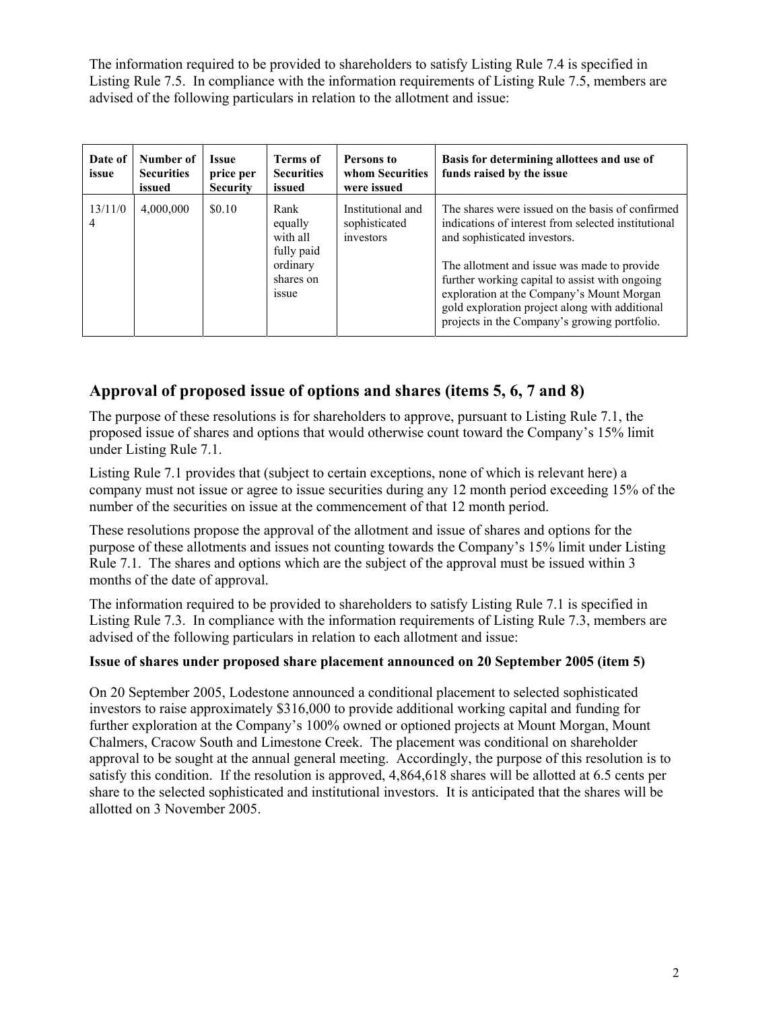The information required to be provided to shareholders to satisfy Listing Rule 7.4 is specified in Listing Rule 7.5. In compliance with the information requirements of Listing Rule 7.5, members are advised of the following particulars in relation to the allotment and issue:

| Date of<br>issue | Number of<br><b>Securities</b><br>issued | <b>Issue</b><br>price per<br><b>Security</b> | <b>Terms of</b><br><b>Securities</b><br>issued                                    | Persons to<br>whom Securities<br>were issued    | Basis for determining allottees and use of<br>funds raised by the issue                                                                                                                                                                                                                                                                                                                 |
|------------------|------------------------------------------|----------------------------------------------|-----------------------------------------------------------------------------------|-------------------------------------------------|-----------------------------------------------------------------------------------------------------------------------------------------------------------------------------------------------------------------------------------------------------------------------------------------------------------------------------------------------------------------------------------------|
| 13/11/0<br>4     | 4,000,000                                | \$0.10                                       | Rank<br>equally<br>with all<br>fully paid<br>ordinary<br>shares on<br><i>ssue</i> | Institutional and<br>sophisticated<br>investors | The shares were issued on the basis of confirmed<br>indications of interest from selected institutional<br>and sophisticated investors.<br>The allotment and issue was made to provide<br>further working capital to assist with ongoing<br>exploration at the Company's Mount Morgan<br>gold exploration project along with additional<br>projects in the Company's growing portfolio. |

# **Approval of proposed issue of options and shares (items 5, 6, 7 and 8)**

The purpose of these resolutions is for shareholders to approve, pursuant to Listing Rule 7.1, the proposed issue of shares and options that would otherwise count toward the Company's 15% limit under Listing Rule 7.1.

Listing Rule 7.1 provides that (subject to certain exceptions, none of which is relevant here) a company must not issue or agree to issue securities during any 12 month period exceeding 15% of the number of the securities on issue at the commencement of that 12 month period.

These resolutions propose the approval of the allotment and issue of shares and options for the purpose of these allotments and issues not counting towards the Company's 15% limit under Listing Rule 7.1. The shares and options which are the subject of the approval must be issued within 3 months of the date of approval.

The information required to be provided to shareholders to satisfy Listing Rule 7.1 is specified in Listing Rule 7.3. In compliance with the information requirements of Listing Rule 7.3, members are advised of the following particulars in relation to each allotment and issue:

# **Issue of shares under proposed share placement announced on 20 September 2005 (item 5)**

On 20 September 2005, Lodestone announced a conditional placement to selected sophisticated investors to raise approximately \$316,000 to provide additional working capital and funding for further exploration at the Company's 100% owned or optioned projects at Mount Morgan, Mount Chalmers, Cracow South and Limestone Creek. The placement was conditional on shareholder approval to be sought at the annual general meeting. Accordingly, the purpose of this resolution is to satisfy this condition. If the resolution is approved, 4,864,618 shares will be allotted at 6.5 cents per share to the selected sophisticated and institutional investors. It is anticipated that the shares will be allotted on 3 November 2005.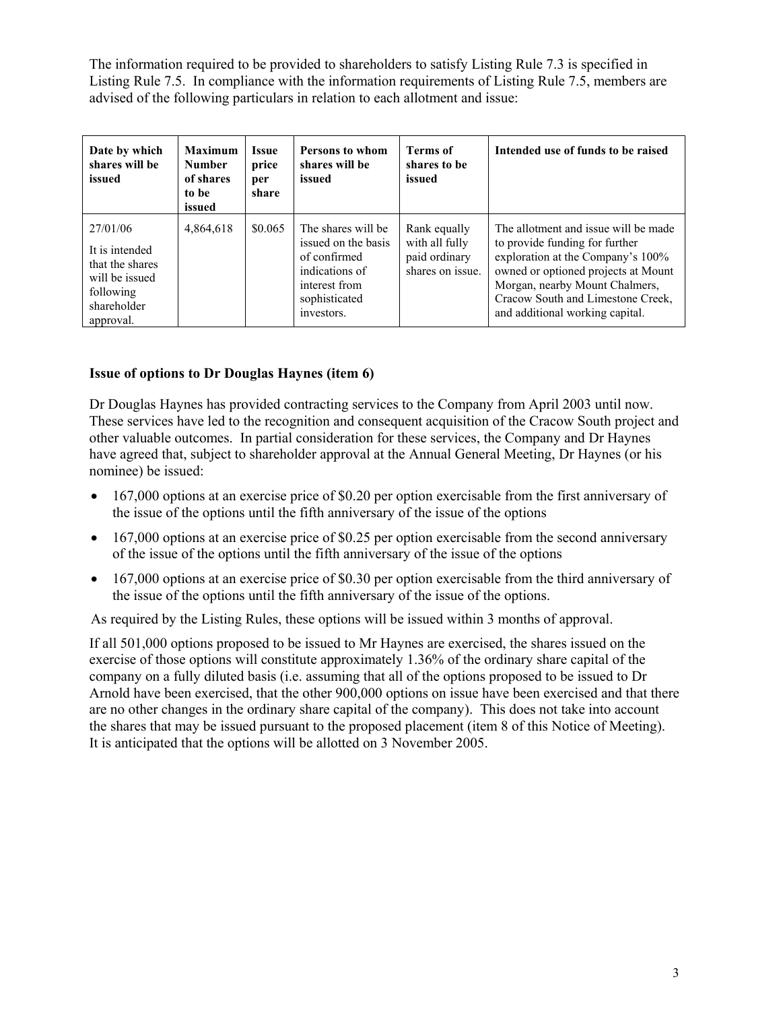The information required to be provided to shareholders to satisfy Listing Rule 7.3 is specified in Listing Rule 7.5. In compliance with the information requirements of Listing Rule 7.5, members are advised of the following particulars in relation to each allotment and issue:

| Date by which<br>shares will be<br>issued                                                                | <b>Maximum</b><br><b>Number</b><br>of shares<br>to be<br>issued | <b>Issue</b><br>price<br>per<br>share | <b>Persons to whom</b><br>shares will be<br>issued                                                                          | <b>Terms of</b><br>shares to be<br>issued                           | Intended use of funds to be raised                                                                                                                                                                                                                           |
|----------------------------------------------------------------------------------------------------------|-----------------------------------------------------------------|---------------------------------------|-----------------------------------------------------------------------------------------------------------------------------|---------------------------------------------------------------------|--------------------------------------------------------------------------------------------------------------------------------------------------------------------------------------------------------------------------------------------------------------|
| 27/01/06<br>It is intended<br>that the shares<br>will be issued<br>following<br>shareholder<br>approval. | 4,864,618                                                       | \$0.065                               | The shares will be<br>issued on the basis<br>of confirmed<br>indications of<br>interest from<br>sophisticated<br>investors. | Rank equally<br>with all fully<br>paid ordinary<br>shares on issue. | The allotment and issue will be made<br>to provide funding for further<br>exploration at the Company's 100%<br>owned or optioned projects at Mount<br>Morgan, nearby Mount Chalmers,<br>Cracow South and Limestone Creek,<br>and additional working capital. |

# **Issue of options to Dr Douglas Haynes (item 6)**

Dr Douglas Haynes has provided contracting services to the Company from April 2003 until now. These services have led to the recognition and consequent acquisition of the Cracow South project and other valuable outcomes. In partial consideration for these services, the Company and Dr Haynes have agreed that, subject to shareholder approval at the Annual General Meeting, Dr Haynes (or his nominee) be issued:

- 167,000 options at an exercise price of \$0.20 per option exercisable from the first anniversary of the issue of the options until the fifth anniversary of the issue of the options
- 167,000 options at an exercise price of \$0.25 per option exercisable from the second anniversary of the issue of the options until the fifth anniversary of the issue of the options
- 167,000 options at an exercise price of \$0.30 per option exercisable from the third anniversary of the issue of the options until the fifth anniversary of the issue of the options.

As required by the Listing Rules, these options will be issued within 3 months of approval.

If all 501,000 options proposed to be issued to Mr Haynes are exercised, the shares issued on the exercise of those options will constitute approximately 1.36% of the ordinary share capital of the company on a fully diluted basis (i.e. assuming that all of the options proposed to be issued to Dr Arnold have been exercised, that the other 900,000 options on issue have been exercised and that there are no other changes in the ordinary share capital of the company). This does not take into account the shares that may be issued pursuant to the proposed placement (item 8 of this Notice of Meeting). It is anticipated that the options will be allotted on 3 November 2005.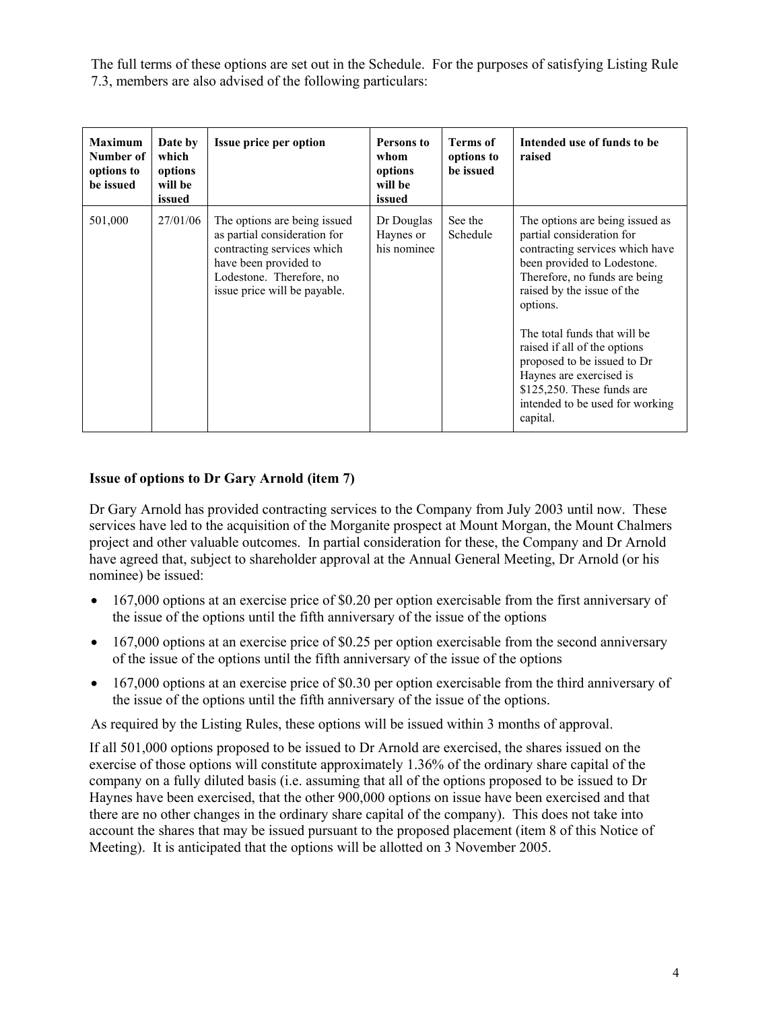The full terms of these options are set out in the Schedule. For the purposes of satisfying Listing Rule 7.3, members are also advised of the following particulars:

| <b>Maximum</b><br>Number of<br>options to<br>be issued | Date by<br>which<br>options<br>will be<br>issued | <b>Issue price per option</b>                                                                                                                                                   | Persons to<br>whom<br>options<br>will be<br>issued | Terms of<br>options to<br>be issued | Intended use of funds to be<br>raised                                                                                                                                                                                                                                                                                                                                                                              |
|--------------------------------------------------------|--------------------------------------------------|---------------------------------------------------------------------------------------------------------------------------------------------------------------------------------|----------------------------------------------------|-------------------------------------|--------------------------------------------------------------------------------------------------------------------------------------------------------------------------------------------------------------------------------------------------------------------------------------------------------------------------------------------------------------------------------------------------------------------|
| 501,000                                                | 27/01/06                                         | The options are being issued<br>as partial consideration for<br>contracting services which<br>have been provided to<br>Lodestone. Therefore, no<br>issue price will be payable. | Dr Douglas<br>Haynes or<br>his nominee             | See the<br>Schedule                 | The options are being issued as<br>partial consideration for<br>contracting services which have<br>been provided to Lodestone.<br>Therefore, no funds are being<br>raised by the issue of the<br>options.<br>The total funds that will be<br>raised if all of the options<br>proposed to be issued to Dr<br>Haynes are exercised is<br>$$125,250$ . These funds are<br>intended to be used for working<br>capital. |

# **Issue of options to Dr Gary Arnold (item 7)**

Dr Gary Arnold has provided contracting services to the Company from July 2003 until now. These services have led to the acquisition of the Morganite prospect at Mount Morgan, the Mount Chalmers project and other valuable outcomes. In partial consideration for these, the Company and Dr Arnold have agreed that, subject to shareholder approval at the Annual General Meeting, Dr Arnold (or his nominee) be issued:

- 167,000 options at an exercise price of \$0.20 per option exercisable from the first anniversary of the issue of the options until the fifth anniversary of the issue of the options
- 167,000 options at an exercise price of \$0.25 per option exercisable from the second anniversary of the issue of the options until the fifth anniversary of the issue of the options
- 167,000 options at an exercise price of \$0.30 per option exercisable from the third anniversary of the issue of the options until the fifth anniversary of the issue of the options.

As required by the Listing Rules, these options will be issued within 3 months of approval.

If all 501,000 options proposed to be issued to Dr Arnold are exercised, the shares issued on the exercise of those options will constitute approximately 1.36% of the ordinary share capital of the company on a fully diluted basis (i.e. assuming that all of the options proposed to be issued to Dr Haynes have been exercised, that the other 900,000 options on issue have been exercised and that there are no other changes in the ordinary share capital of the company). This does not take into account the shares that may be issued pursuant to the proposed placement (item 8 of this Notice of Meeting). It is anticipated that the options will be allotted on 3 November 2005.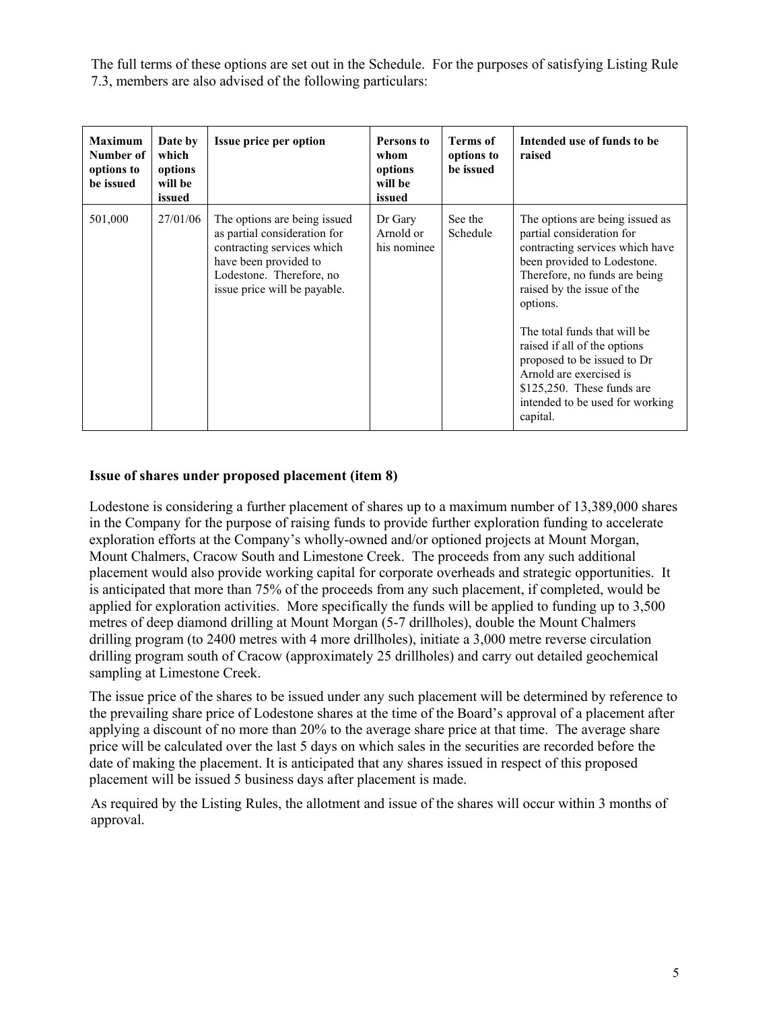The full terms of these options are set out in the Schedule. For the purposes of satisfying Listing Rule 7.3, members are also advised of the following particulars:

| <b>Maximum</b><br>Number of<br>options to<br>be issued | Date by<br>which<br>options<br>will be<br>issued | <b>Issue price per option</b>                                                                                                                                                   | Persons to<br>whom<br>options<br>will be<br>issued | Terms of<br>options to<br>be issued | Intended use of funds to be<br>raised                                                                                                                                                                                                                                                                                                                                                                              |
|--------------------------------------------------------|--------------------------------------------------|---------------------------------------------------------------------------------------------------------------------------------------------------------------------------------|----------------------------------------------------|-------------------------------------|--------------------------------------------------------------------------------------------------------------------------------------------------------------------------------------------------------------------------------------------------------------------------------------------------------------------------------------------------------------------------------------------------------------------|
| 501,000                                                | 27/01/06                                         | The options are being issued<br>as partial consideration for<br>contracting services which<br>have been provided to<br>Lodestone. Therefore, no<br>issue price will be payable. | Dr Gary<br>Arnold or<br>his nominee                | See the<br>Schedule                 | The options are being issued as<br>partial consideration for<br>contracting services which have<br>been provided to Lodestone.<br>Therefore, no funds are being<br>raised by the issue of the<br>options.<br>The total funds that will be<br>raised if all of the options<br>proposed to be issued to Dr<br>Arnold are exercised is<br>$$125,250$ . These funds are<br>intended to be used for working<br>capital. |

# **Issue of shares under proposed placement (item 8)**

Lodestone is considering a further placement of shares up to a maximum number of 13,389,000 shares in the Company for the purpose of raising funds to provide further exploration funding to accelerate exploration efforts at the Company's wholly-owned and/or optioned projects at Mount Morgan, Mount Chalmers, Cracow South and Limestone Creek. The proceeds from any such additional placement would also provide working capital for corporate overheads and strategic opportunities. It is anticipated that more than 75% of the proceeds from any such placement, if completed, would be applied for exploration activities. More specifically the funds will be applied to funding up to 3,500 metres of deep diamond drilling at Mount Morgan (5-7 drillholes), double the Mount Chalmers drilling program (to 2400 metres with 4 more drillholes), initiate a 3,000 metre reverse circulation drilling program south of Cracow (approximately 25 drillholes) and carry out detailed geochemical sampling at Limestone Creek.

The issue price of the shares to be issued under any such placement will be determined by reference to the prevailing share price of Lodestone shares at the time of the Board's approval of a placement after applying a discount of no more than 20% to the average share price at that time. The average share price will be calculated over the last 5 days on which sales in the securities are recorded before the date of making the placement. It is anticipated that any shares issued in respect of this proposed placement will be issued 5 business days after placement is made.

As required by the Listing Rules, the allotment and issue of the shares will occur within 3 months of approval.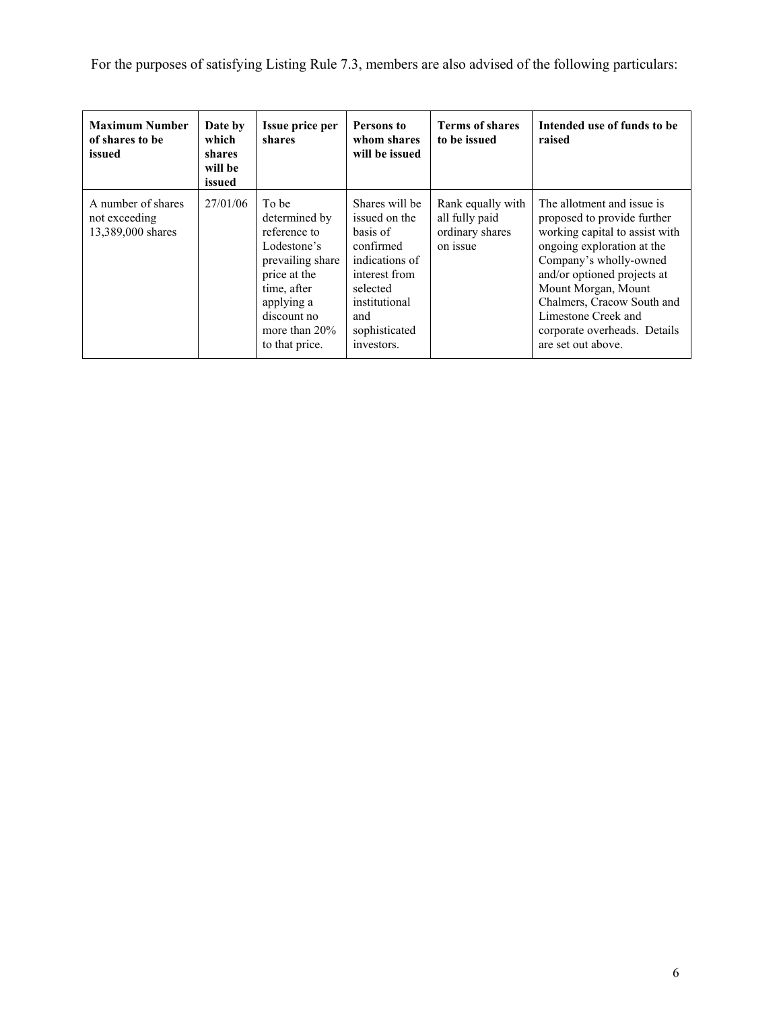For the purposes of satisfying Listing Rule 7.3, members are also advised of the following particulars:

| <b>Maximum Number</b><br>of shares to be<br>issued                   | Date by<br>which<br>shares<br>will be<br>issued | <b>Issue price per</b><br>shares                                                                                                                                            | Persons to<br>whom shares<br>will be issued                                                                                                                    | <b>Terms of shares</b><br>to be issued                             | Intended use of funds to be<br>raised                                                                                                                                                                                                                                                                                |
|----------------------------------------------------------------------|-------------------------------------------------|-----------------------------------------------------------------------------------------------------------------------------------------------------------------------------|----------------------------------------------------------------------------------------------------------------------------------------------------------------|--------------------------------------------------------------------|----------------------------------------------------------------------------------------------------------------------------------------------------------------------------------------------------------------------------------------------------------------------------------------------------------------------|
| A number of shares<br>27/01/06<br>not exceeding<br>13,389,000 shares |                                                 | To be<br>determined by<br>reference to<br>Lodestone's<br>prevailing share<br>price at the<br>time, after<br>applying a<br>discount no<br>more than $20\%$<br>to that price. | Shares will be<br>issued on the<br>basis of<br>confirmed<br>indications of<br>interest from<br>selected<br>institutional<br>and<br>sophisticated<br>investors. | Rank equally with<br>all fully paid<br>ordinary shares<br>on issue | The allotment and issue is<br>proposed to provide further<br>working capital to assist with<br>ongoing exploration at the<br>Company's wholly-owned<br>and/or optioned projects at<br>Mount Morgan, Mount<br>Chalmers, Cracow South and<br>Limestone Creek and<br>corporate overheads. Details<br>are set out above. |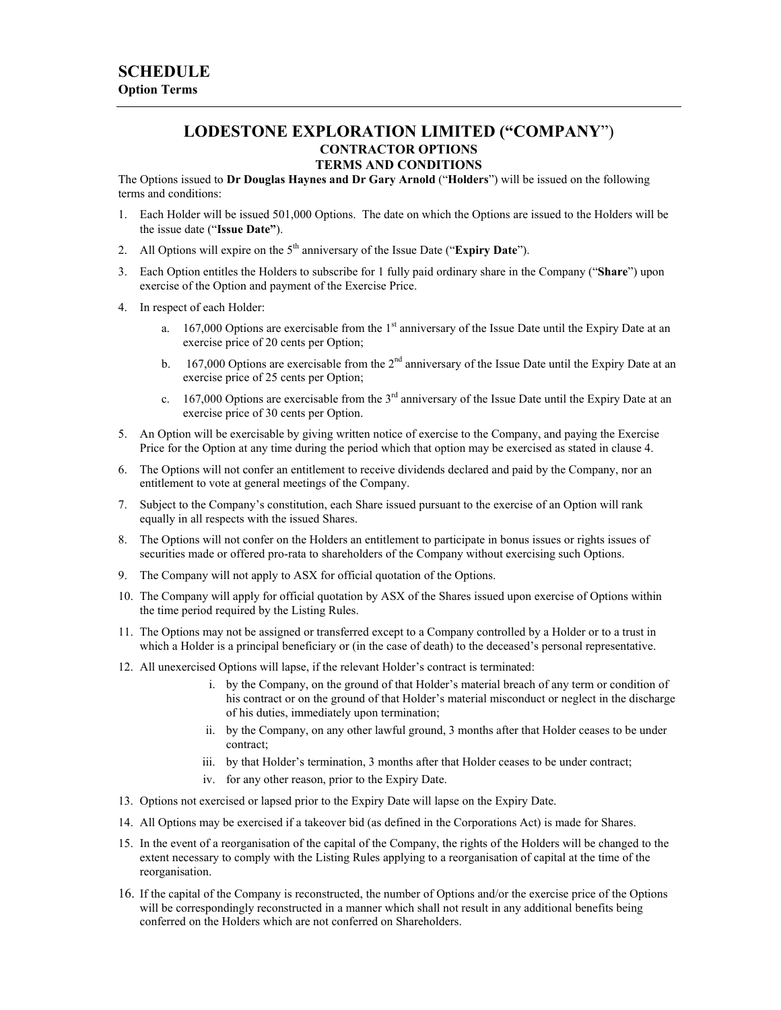## **LODESTONE EXPLORATION LIMITED ("COMPANY**") **CONTRACTOR OPTIONS TERMS AND CONDITIONS**

The Options issued to **Dr Douglas Haynes and Dr Gary Arnold** ("**Holders**") will be issued on the following terms and conditions:

- 1. Each Holder will be issued 501,000 Options. The date on which the Options are issued to the Holders will be the issue date ("**Issue Date"**).
- 2. All Options will expire on the 5th anniversary of the Issue Date ("**Expiry Date**").
- 3. Each Option entitles the Holders to subscribe for 1 fully paid ordinary share in the Company ("**Share**") upon exercise of the Option and payment of the Exercise Price.
- 4. In respect of each Holder:
	- a. 167,000 Options are exercisable from the 1<sup>st</sup> anniversary of the Issue Date until the Expiry Date at an exercise price of 20 cents per Option;
	- b. 167,000 Options are exercisable from the  $2<sup>nd</sup>$  anniversary of the Issue Date until the Expiry Date at an exercise price of 25 cents per Option;
	- c. 167,000 Options are exercisable from the  $3<sup>rd</sup>$  anniversary of the Issue Date until the Expiry Date at an exercise price of 30 cents per Option.
- 5. An Option will be exercisable by giving written notice of exercise to the Company, and paying the Exercise Price for the Option at any time during the period which that option may be exercised as stated in clause 4.
- 6. The Options will not confer an entitlement to receive dividends declared and paid by the Company, nor an entitlement to vote at general meetings of the Company.
- 7. Subject to the Company's constitution, each Share issued pursuant to the exercise of an Option will rank equally in all respects with the issued Shares.
- 8. The Options will not confer on the Holders an entitlement to participate in bonus issues or rights issues of securities made or offered pro-rata to shareholders of the Company without exercising such Options.
- 9. The Company will not apply to ASX for official quotation of the Options.
- 10. The Company will apply for official quotation by ASX of the Shares issued upon exercise of Options within the time period required by the Listing Rules.
- 11. The Options may not be assigned or transferred except to a Company controlled by a Holder or to a trust in which a Holder is a principal beneficiary or (in the case of death) to the deceased's personal representative.
- 12. All unexercised Options will lapse, if the relevant Holder's contract is terminated:
	- i. by the Company, on the ground of that Holder's material breach of any term or condition of his contract or on the ground of that Holder's material misconduct or neglect in the discharge of his duties, immediately upon termination;
	- ii. by the Company, on any other lawful ground, 3 months after that Holder ceases to be under contract;
	- iii. by that Holder's termination, 3 months after that Holder ceases to be under contract;
	- iv. for any other reason, prior to the Expiry Date.
- 13. Options not exercised or lapsed prior to the Expiry Date will lapse on the Expiry Date.
- 14. All Options may be exercised if a takeover bid (as defined in the Corporations Act) is made for Shares.
- 15. In the event of a reorganisation of the capital of the Company, the rights of the Holders will be changed to the extent necessary to comply with the Listing Rules applying to a reorganisation of capital at the time of the reorganisation.
- 16. If the capital of the Company is reconstructed, the number of Options and/or the exercise price of the Options will be correspondingly reconstructed in a manner which shall not result in any additional benefits being conferred on the Holders which are not conferred on Shareholders.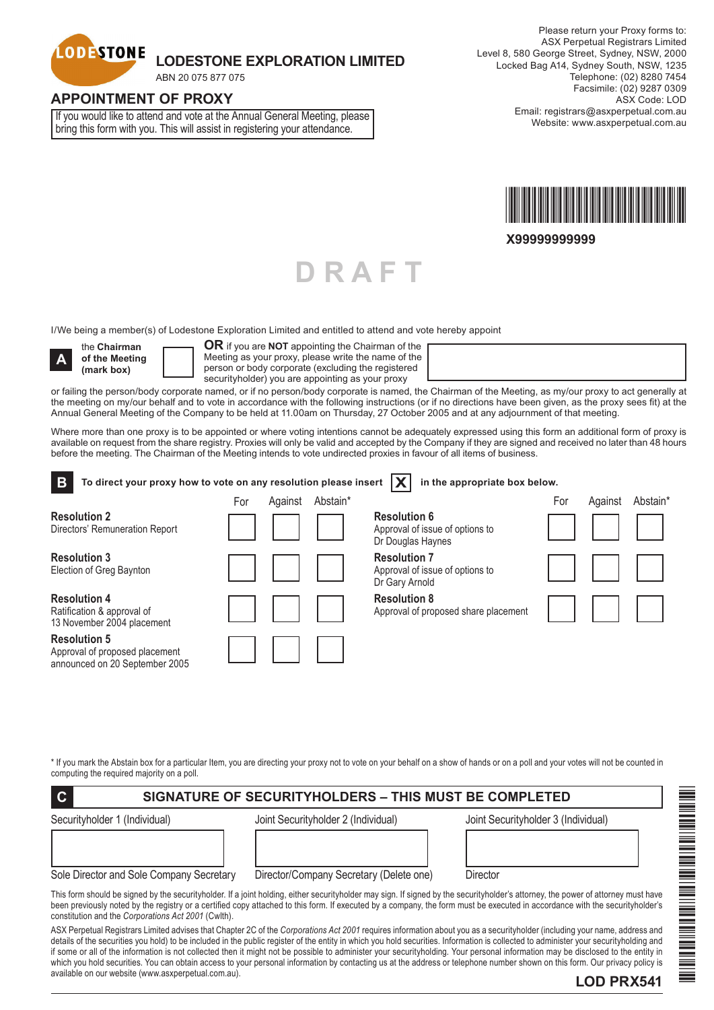

# **LODESTONE EXPLORATION LIMITED**

ABN 20 075 877 075

### **APPOINTMENT OF PROXY**

If you would like to attend and vote at the Annual General Meeting, please bring this form with you. This will assist in registering your attendance.



**X99999999999**

I/We being a member(s) of Lodestone Exploration Limited and entitled to attend and vote hereby appoint



the **Chairman of the Meeting (mark box)**

**OR** if you are **NOT** appointing the Chairman of the Meeting as your proxy, please write the name of the person or body corporate (excluding the registered securityholder) you are appointing as your proxy

or failing the person/body corporate named, or if no person/body corporate is named, the Chairman of the Meeting, as my/our proxy to act generally at the meeting on my/our behalf and to vote in accordance with the following instructions (or if no directions have been given, as the proxy sees fit) at the Annual General Meeting of the Company to be held at 11.00am on Thursday, 27 October 2005 and at any adjournment of that meeting.

**D R A F T**

Where more than one proxy is to be appointed or where voting intentions cannot be adequately expressed using this form an additional form of proxy is available on request from the share registry. Proxies will only be valid and accepted by the Company if they are signed and received no later than 48 hours before the meeting. The Chairman of the Meeting intends to vote undirected proxies in favour of all items of business.

| B<br>To direct your proxy how to vote on any resolution please insert                   |     |         |          | in the appropriate box below.                                               |     |         |                      |
|-----------------------------------------------------------------------------------------|-----|---------|----------|-----------------------------------------------------------------------------|-----|---------|----------------------|
|                                                                                         | For | Against | Abstain* |                                                                             | For | Against | Abstain <sup>*</sup> |
| <b>Resolution 2</b><br>Directors' Remuneration Report                                   |     |         |          | <b>Resolution 6</b><br>Approval of issue of options to<br>Dr Douglas Haynes |     |         |                      |
| <b>Resolution 3</b><br>Election of Greg Baynton                                         |     |         |          | <b>Resolution 7</b><br>Approval of issue of options to<br>Dr Gary Arnold    |     |         |                      |
| <b>Resolution 4</b><br>Ratification & approval of<br>13 November 2004 placement         |     |         |          | <b>Resolution 8</b><br>Approval of proposed share placement                 |     |         |                      |
| <b>Resolution 5</b><br>Approval of proposed placement<br>announced on 20 September 2005 |     |         |          |                                                                             |     |         |                      |

\* If you mark the Abstain box for a particular Item, you are directing your proxy not to vote on your behalf on a show of hands or on a poll and your votes will not be counted in computing the required majority on a poll.

# **C SIGNATURE OF SECURITYHOLDERS – THIS MUST BE COMPLETED**

| Securityholder 1 (Individual |  |
|------------------------------|--|
|                              |  |

Securityholder 1 (Individual) Joint Securityholder 2 (Individual) Joint Securityholder 3 (Individual)

\*LOD PRX541\*

Sole Director and Sole Company Secretary Director/Company Secretary (Delete one) Director

This form should be signed by the securityholder. If a joint holding, either securityholder may sign. If signed by the securityholder's attorney, the power of attorney must have been previously noted by the registry or a certified copy attached to this form. If executed by a company, the form must be executed in accordance with the securityholder's constitution and the *Corporations Act 2001* (Cwlth).

ASX Perpetual Registrars Limited advises that Chapter 2C of the *Corporations Act 2001* requires information about you as a securityholder (including your name, address and details of the securities you hold) to be included in the public register of the entity in which you hold securities. Information is collected to administer your securityholding and if some or all of the information is not collected then it might not be possible to administer your securityholding. Your personal information may be disclosed to the entity in which you hold securities. You can obtain access to your personal information by contacting us at the address or telephone number shown on this form. Our privacy policy is available on our website (www.asxperpetual.com.au). **LOD PRX541**